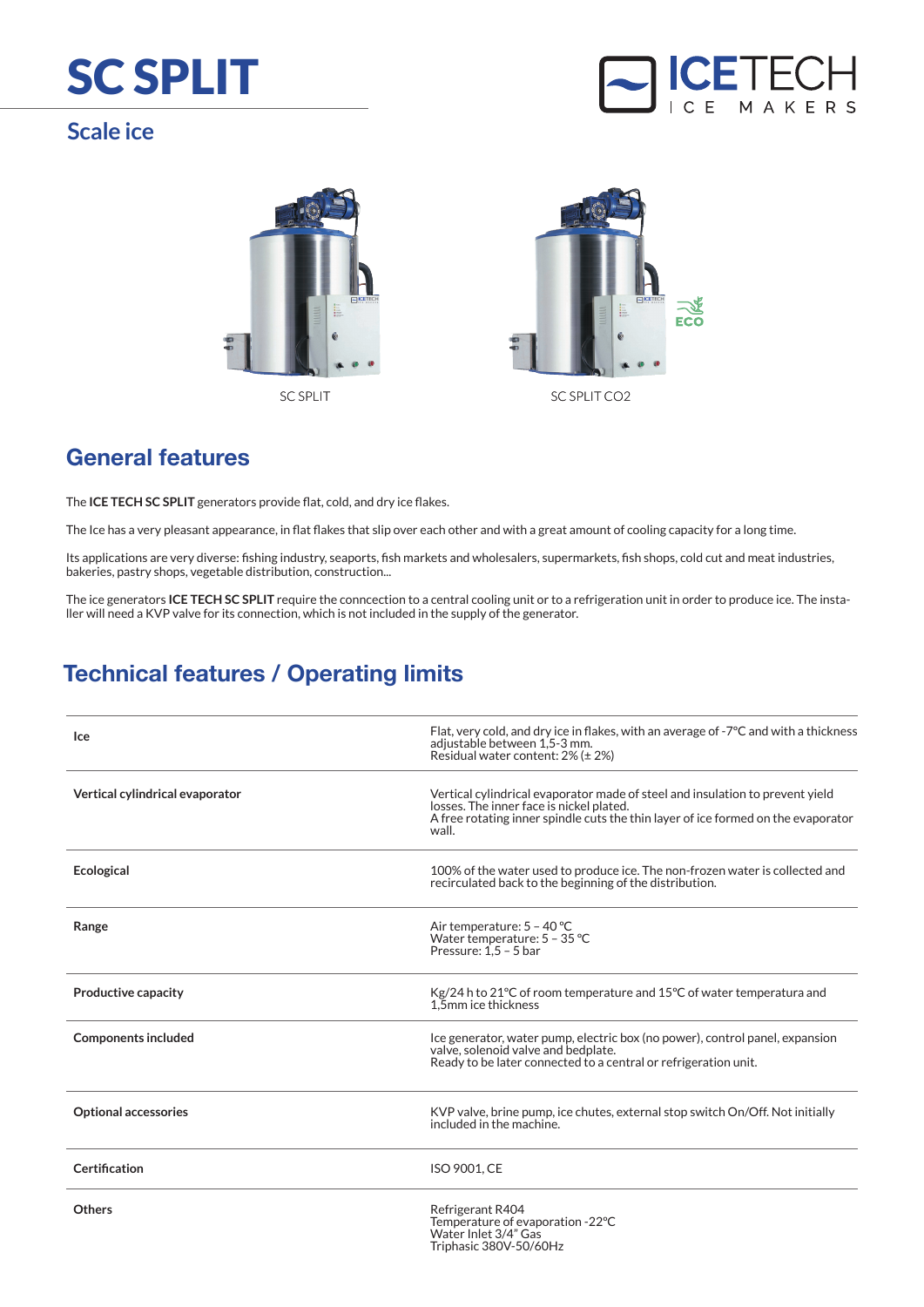## SC SPLIT

## **Scale ice**







SC SPLIT SC SPLIT CO2

## **General features**

The **ICE TECH SC SPLIT** generators provide flat, cold, and dry ice flakes.

The Ice has a very pleasant appearance, in flat flakes that slip over each other and with a great amount of cooling capacity for a long time.

Its applications are very diverse: fishing industry, seaports, fish markets and wholesalers, supermarkets, fish shops, cold cut and meat industries, bakeries, pastry shops, vegetable distribution, construction...

The ice generators **ICE TECH SC SPLIT** require the conncection to a central cooling unit or to a refrigeration unit in order to produce ice. The installer will need a KVP valve for its connection, which is not included in the supply of the generator.

## **Technical features / Operating limits**

| <b>Ice</b>                      | Flat, very cold, and dry ice in flakes, with an average of -7°C and with a thickness<br>adjustable between 1,5-3 mm.<br>Residual water content: 2% (± 2%)                                                               |
|---------------------------------|-------------------------------------------------------------------------------------------------------------------------------------------------------------------------------------------------------------------------|
| Vertical cylindrical evaporator | Vertical cylindrical evaporator made of steel and insulation to prevent yield<br>losses. The inner face is nickel plated.<br>A free rotating inner spindle cuts the thin layer of ice formed on the evaporator<br>wall. |
| <b>Ecological</b>               | 100% of the water used to produce ice. The non-frozen water is collected and<br>recirculated back to the beginning of the distribution.                                                                                 |
| Range                           | Air temperature: 5 - 40 °C<br>Water temperature: 5 - 35 °C<br>Pressure: $1.5 - 5$ bar                                                                                                                                   |
| <b>Productive capacity</b>      | Kg/24 h to 21 °C of room temperature and 15 °C of water temperatura and<br>1.5mm ice thickness                                                                                                                          |
| <b>Components included</b>      | Ice generator, water pump, electric box (no power), control panel, expansion<br>valve, solenoid valve and bedplate.<br>Ready to be later connected to a central or refrigeration unit.                                  |
| <b>Optional accessories</b>     | KVP valve, brine pump, ice chutes, external stop switch On/Off. Not initially<br>included in the machine.                                                                                                               |
| Certification                   | <b>ISO 9001, CE</b>                                                                                                                                                                                                     |
| <b>Others</b>                   | Refrigerant R404<br>Temperature of evaporation -22°C<br>Water Inlet 3/4" Gas<br>Triphasic 380V-50/60Hz                                                                                                                  |